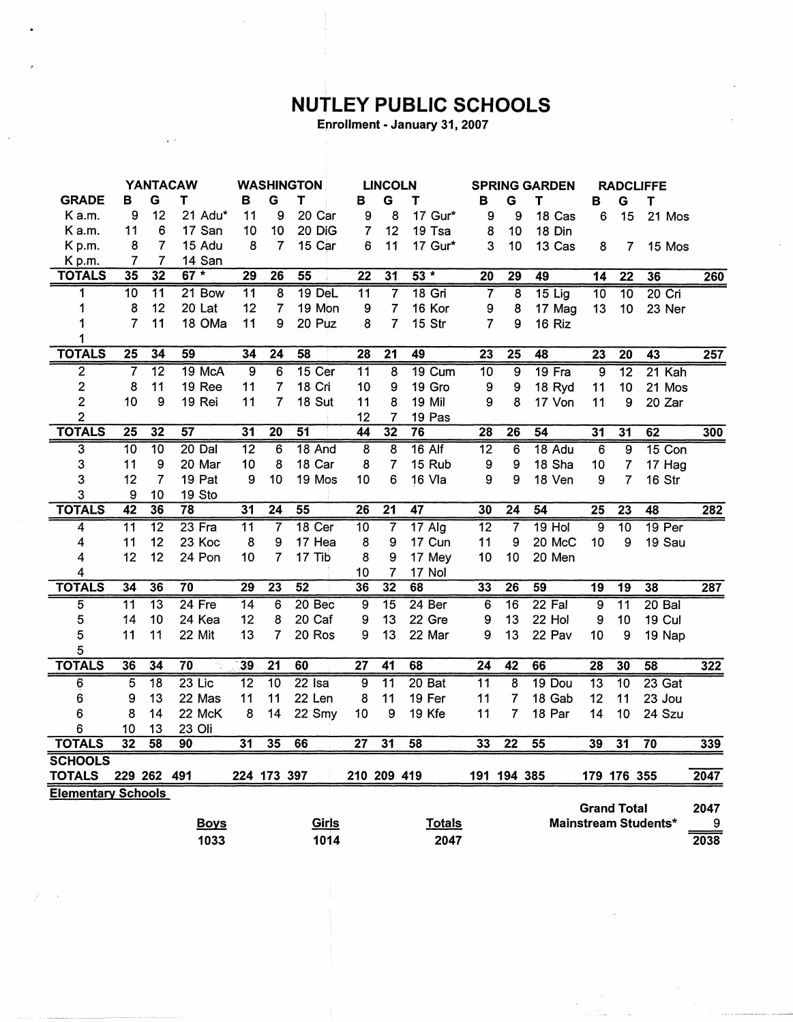## **NUTLEY PUBLIC SCHOOLS**

Enrollment - January 31, 2007

|                           | <b>YANTACAW</b> |                 |          |             | <b>WASHINGTON</b> |                 |                 | <b>LINCOLN</b> |                 |                          | <b>SPRING GARDEN</b> |                   |                  |                 | <b>RADCLIFFE</b> |                 |                    |                          |      |
|---------------------------|-----------------|-----------------|----------|-------------|-------------------|-----------------|-----------------|----------------|-----------------|--------------------------|----------------------|-------------------|------------------|-----------------|------------------|-----------------|--------------------|--------------------------|------|
| <b>GRADE</b>              | в               | G               | Т        |             | в                 | G               | Т               |                | в               | G                        | т                    |                   | в                | G               | т                | в               | G                  | T                        |      |
| K a.m.                    | 9               | 12              |          | 21 Adu*     | 11                | 9               |                 | 20 Car         | 9               | 8                        |                      | 17 Gur*           | 9                | 9               | 18 Cas           |                 | 6<br>15            | 21 Mos                   |      |
| K a.m.                    | 11              | 6               |          | 17 San      | 10                | 10              |                 | 20 DiG         | 7               | 12                       |                      | 19 Tsa            | 8                | 10              | 18 Din           |                 |                    |                          |      |
| K p.m.                    | 8               | $\overline{7}$  |          | 15 Adu      | 8                 | $\overline{7}$  |                 | 15 Car         | 6               | 11                       |                      | 17 Gur*           | 3                | 10              | 13 Cas           | 8               |                    | 15 Mos<br>$\overline{7}$ |      |
| Kp.m.                     | 7               | 7               |          | 14 San      |                   |                 |                 |                |                 |                          |                      |                   |                  |                 |                  |                 |                    |                          |      |
| <b>TOTALS</b>             | 35              | $\overline{32}$ | $67*$    |             | 29                | $\overline{26}$ | 55              |                | $\overline{22}$ | 31                       |                      | $53*$             | 20               | $\overline{29}$ | 49               | 14              | $\overline{22}$    | 36                       | 260  |
| 1                         | $\overline{10}$ | $\overline{11}$ |          | $21$ Bow    | 11                | $\overline{8}$  |                 | $19$ DeL       | $\overline{11}$ | $\overline{\mathcal{L}}$ |                      | $18$ Gri          | 7                | $\overline{8}$  | $15$ Lig         | $\overline{10}$ | $\overline{10}$    | $20$ Cri                 |      |
| 1                         | 8               | 12              | 20 Lat   |             | 12                | $\overline{7}$  |                 | 19 Mon         | 9               | $\overline{7}$           |                      | 16 Kor            | 9                | 8               | 17 Mag           | 13              | 10                 | 23 Ner                   |      |
| 1                         | $\overline{7}$  | 11              |          | 18 OMa      | 11                | 9               |                 | 20 Puz         | 8               | $\overline{7}$           |                      | 15 Str            | 7                | 9               | 16 Riz           |                 |                    |                          |      |
| 1                         |                 |                 |          |             |                   |                 |                 |                |                 |                          |                      |                   |                  |                 |                  |                 |                    |                          |      |
| <b>TOTALS</b>             | $\overline{25}$ | 34              | 59       |             | 34                | $\overline{24}$ | 58              |                | $\overline{28}$ | $\overline{21}$          | 49                   |                   | $\overline{23}$  | $\overline{25}$ | 48               | $\overline{23}$ | $\overline{20}$    | $\overline{43}$          | 257  |
| 2                         | 7               | $\overline{12}$ |          | 19 McA      | 9                 | 6               |                 | 15 Cer         | $\overline{11}$ | $\overline{8}$           |                      | 19 Cum            | $\overline{10}$  | $\overline{9}$  | 19 Fra           | $\overline{9}$  | $\overline{12}$    | 21 Kah                   |      |
| $\mathbf{2}$              | 8               | 11              |          | 19 Ree      | 11                | $\overline{7}$  |                 | 18 Cri         | 10              | 9                        |                      | 19 Gro            | $\boldsymbol{9}$ | 9               | 18 Ryd           | 11              | 10                 | 21 Mos                   |      |
| $\overline{c}$            | 10              | 9               | 19 Rei   |             | 11                | 7               |                 | 18 Sut         | 11              | 8                        |                      | 19 Mil            | 9                | 8               | 17 Von           | 11              | 9                  | 20 Zar                   |      |
| $\overline{2}$            |                 |                 |          |             |                   |                 |                 |                | 12              | 7                        |                      | 19 Pas            |                  |                 |                  |                 |                    |                          |      |
| <b>TOTALS</b>             | $\overline{25}$ | 32              | 57       |             | 31                | $\overline{20}$ | $\overline{51}$ |                | 44              | 32                       | $\overline{76}$      |                   | $\overline{28}$  | $\overline{26}$ | 54               | 31              | 31                 | 62                       | 300  |
| $\overline{3}$            | $\overline{10}$ | $\overline{10}$ | $20$ Dal |             | 12                | 6               |                 | 18 And         | $\overline{8}$  | $\overline{8}$           |                      | $16$ Alf          | $\overline{12}$  | 6               | 18 Adu           | $\overline{6}$  | $\overline{9}$     | 15 Con                   |      |
| 3                         | 11              | 9               | 20 Mar   |             | 10                | 8               |                 | 18 Car         | 8               | 7                        |                      | 15 Rub            | $\boldsymbol{9}$ | 9               | 18 Sha           | 10              | 7                  | 17 Hag                   |      |
| 3                         | 12              | $\overline{7}$  | 19 Pat   |             | 9                 | 10              |                 | 19 Mos         | 10              | 6                        |                      | 16 Vla            | 9                | 9               | 18 Ven           | 9               | 7                  | 16 Str                   |      |
| 3                         | 9               | 10              | 19 Sto   |             |                   |                 |                 |                |                 |                          |                      |                   |                  |                 |                  |                 |                    |                          |      |
| <b>TOTALS</b>             | $\overline{42}$ | 36              | 78       |             | $\overline{31}$   | $\overline{24}$ | $\overline{55}$ |                | $\overline{26}$ | $\overline{21}$          | 47                   |                   | 30               | $\overline{24}$ | $\overline{54}$  | $\overline{25}$ | $\overline{23}$    | 48                       | 282  |
| 4                         | $\overline{11}$ | $\overline{12}$ | 23 Fra   |             | $\overline{11}$   | 7               |                 | 18 Cer         | $\overline{10}$ | 7                        |                      | $17$ Alg          | $\overline{12}$  | 7               | $19$ Hol         | $\overline{9}$  | $\overline{10}$    | 19 <sub>Per</sub>        |      |
| 4                         | 11              | 12              | 23 Koc   |             | 8                 | 9               |                 | 17 Hea         | 8               | 9                        |                      | 17 Cun            | 11               | 9               | 20 McC           | 10              | 9                  | 19 Sau                   |      |
| 4                         | 12              | 12              | 24 Pon   |             | 10                | $\overline{7}$  | 17 Tib          |                | 8               | 9                        |                      | 17 Mey            | 10               | 10              | 20 Men           |                 |                    |                          |      |
| 4                         |                 |                 |          |             |                   |                 |                 |                | 10              | 7                        |                      | 17 Nol            |                  |                 |                  |                 |                    |                          |      |
| <b>TOTALS</b>             | 34              | 36              | 70       |             | 29                | $\overline{23}$ | 52              |                | 36              | 32                       | 68                   |                   | 33               | $\overline{26}$ | 59               | 19              | 19                 | 38                       | 287  |
| 5                         | $\overline{11}$ | $\overline{13}$ | $24$ Fre |             | $\overline{14}$   | 6               |                 | 20 Bec         | 9               | $\overline{15}$          |                      | 24 <sub>Ber</sub> | 6                | $\overline{16}$ | 22 Fal           | 9               | $\overline{11}$    | $20B$ al                 |      |
| 5                         | 14              | 10              | 24 Kea   |             | 12                | 8               |                 | 20 Caf         | 9               | 13                       |                      | 22 Gre            | 9                | 13              | 22 Hol           | 9               | 10                 | <b>19 Cul</b>            |      |
| 5                         | 11              | 11              | 22 Mit   |             | 13                | 7               |                 | 20 Ros         | 9               | 13                       |                      | 22 Mar            | 9                | 13              | 22 Pav           | 10              | 9                  | 19 Nap                   |      |
| 5                         |                 |                 |          |             |                   |                 |                 |                |                 |                          |                      |                   |                  |                 |                  |                 |                    |                          |      |
| <b>TOTALS</b>             | 36              | $\overline{34}$ | 70       |             | 39                | $\overline{21}$ | $\overline{60}$ |                | $\overline{27}$ | 41                       | 68                   |                   | $\overline{24}$  | 42              | 66               | $\overline{28}$ | 30                 | $\overline{58}$          | 322  |
| 6                         | $\overline{5}$  | $\overline{18}$ | $23$ Lic |             | $\overline{12}$   | $\overline{10}$ | $22$ Isa        |                | $\overline{9}$  | $\overline{11}$          |                      | $20$ Bat          | $\overline{11}$  | 8               | 19 Dou           | $\overline{13}$ | $\overline{10}$    | $23$ Gat                 |      |
| 6                         | 9               | 13              | 22 Mas   |             | 11                | 11              |                 | 22 Len         | 8               | 11                       |                      | 19 Fer            | 11               | 7               | 18 Gab           | 12              | 11                 | 23 Jou                   |      |
| 6                         | 8               | 14              | 22 McK   |             | 8                 | 14              |                 | 22 Smy         | 10              | 9                        |                      | 19 Kfe            | 11               | 7               | 18 Par           | 14              | 10                 | 24 Szu                   |      |
| 6                         | 10              | 13              | 23 Oli   |             |                   |                 |                 |                |                 |                          |                      |                   |                  |                 |                  |                 |                    |                          |      |
| <b>TOTALS</b>             | $\overline{32}$ | 58              | 90       |             | 31                | 35              | 66              |                | $\overline{27}$ | 31                       | 58                   |                   | 33               | $\overline{22}$ | 55               | 39              | $\overline{31}$    | $\overline{70}$          | 339  |
| <b>SCHOOLS</b>            |                 |                 |          |             |                   |                 |                 |                |                 |                          |                      |                   |                  |                 |                  |                 |                    |                          |      |
| <b>TOTALS</b>             |                 | 229 262 491     |          |             |                   | 224 173 397     |                 |                | 210 209 419     |                          |                      |                   |                  | 191 194 385     |                  |                 | 179 176 355        |                          | 2047 |
| <b>Elementary Schools</b> |                 |                 |          |             |                   |                 |                 |                |                 |                          |                      |                   |                  |                 |                  |                 |                    |                          |      |
|                           |                 |                 |          |             |                   |                 |                 |                |                 |                          |                      |                   |                  |                 |                  |                 | <b>Grand Total</b> |                          | 2047 |
|                           |                 |                 |          | <b>Boys</b> |                   |                 |                 | <u>Girls</u>   |                 |                          |                      | <b>Totals</b>     |                  |                 |                  |                 |                    | Mainstream Students*     | 9    |
|                           |                 |                 |          | 1033        |                   |                 |                 | 1014           |                 |                          |                      | 2047              |                  |                 |                  |                 |                    |                          | 2038 |